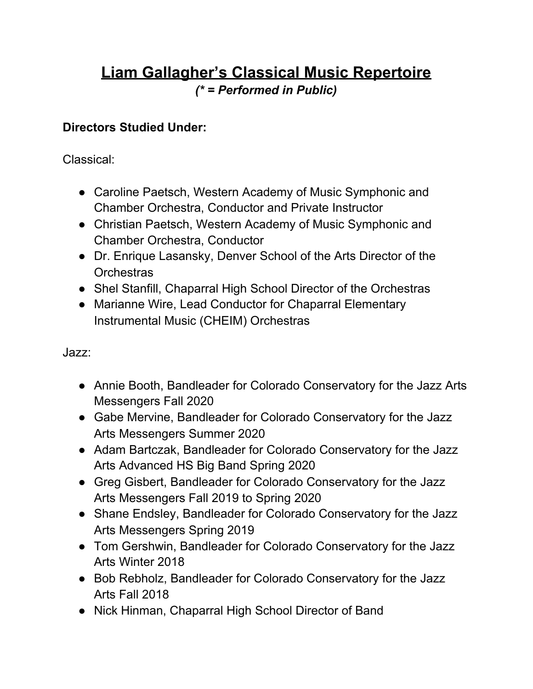# **Liam Gallagher's Classical Music Repertoire**

*(\* = Performed in Public)*

## **Directors Studied Under:**

Classical:

- Caroline Paetsch, Western Academy of Music Symphonic and Chamber Orchestra, Conductor and Private Instructor
- Christian Paetsch, Western Academy of Music Symphonic and Chamber Orchestra, Conductor
- Dr. Enrique Lasansky, Denver School of the Arts Director of the **Orchestras**
- Shel Stanfill, Chaparral High School Director of the Orchestras
- Marianne Wire, Lead Conductor for Chaparral Elementary Instrumental Music (CHEIM) Orchestras

Jazz:

- Annie Booth, Bandleader for Colorado Conservatory for the Jazz Arts Messengers Fall 2020
- Gabe Mervine, Bandleader for Colorado Conservatory for the Jazz Arts Messengers Summer 2020
- Adam Bartczak, Bandleader for Colorado Conservatory for the Jazz Arts Advanced HS Big Band Spring 2020
- Greg Gisbert, Bandleader for Colorado Conservatory for the Jazz Arts Messengers Fall 2019 to Spring 2020
- Shane Endsley, Bandleader for Colorado Conservatory for the Jazz Arts Messengers Spring 2019
- Tom Gershwin, Bandleader for Colorado Conservatory for the Jazz Arts Winter 2018
- Bob Rebholz, Bandleader for Colorado Conservatory for the Jazz Arts Fall 2018
- Nick Hinman, Chaparral High School Director of Band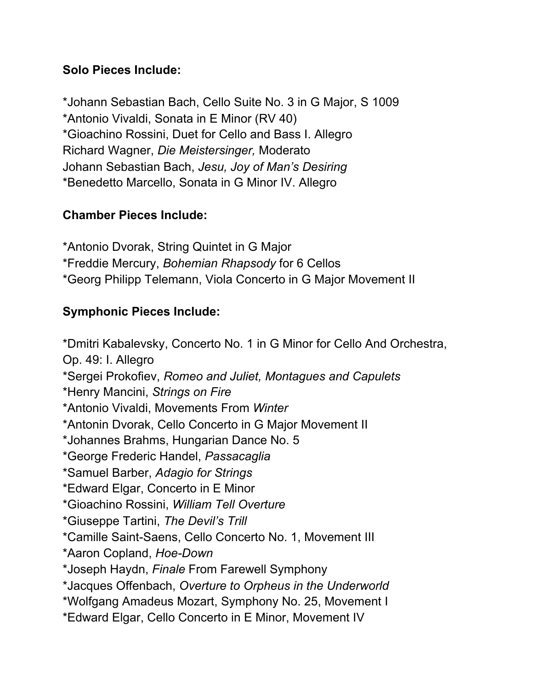#### **Solo Pieces Include:**

\*Johann Sebastian Bach, Cello Suite No. 3 in G Major, S 1009 \*Antonio Vivaldi, Sonata in E Minor (RV 40) \*Gioachino Rossini, Duet for Cello and Bass I. Allegro Richard Wagner, *Die Meistersinger,* Moderato Johann Sebastian Bach, *Jesu, Joy of Man's Desiring* \*Benedetto Marcello, Sonata in G Minor IV. Allegro

### **Chamber Pieces Include:**

\*Antonio Dvorak, String Quintet in G Major \*Freddie Mercury, *Bohemian Rhapsody* for 6 Cellos \*Georg Philipp Telemann, Viola Concerto in G Major Movement II

## **Symphonic Pieces Include:**

\*Dmitri Kabalevsky, Concerto No. 1 in G Minor for Cello And Orchestra, Op. 49: I. Allegro \*Sergei Prokofiev, *Romeo and Juliet, Montagues and Capulets* \*Henry Mancini, *Strings on Fire* \*Antonio Vivaldi, Movements From *Winter* \*Antonin Dvorak, Cello Concerto in G Major Movement II \*Johannes Brahms, Hungarian Dance No. 5 \*George Frederic Handel, *Passacaglia* \*Samuel Barber, *Adagio for Strings* \*Edward Elgar, Concerto in E Minor \*Gioachino Rossini, *William Tell Overture* \*Giuseppe Tartini, *The Devil's Trill* \*Camille Saint-Saens, Cello Concerto No. 1, Movement III \*Aaron Copland, *Hoe-Down* \*Joseph Haydn, *Finale* From Farewell Symphony \*Jacques Offenbach, *Overture to Orpheus in the Underworld* \*Wolfgang Amadeus Mozart, Symphony No. 25, Movement I \*Edward Elgar, Cello Concerto in E Minor, Movement IV